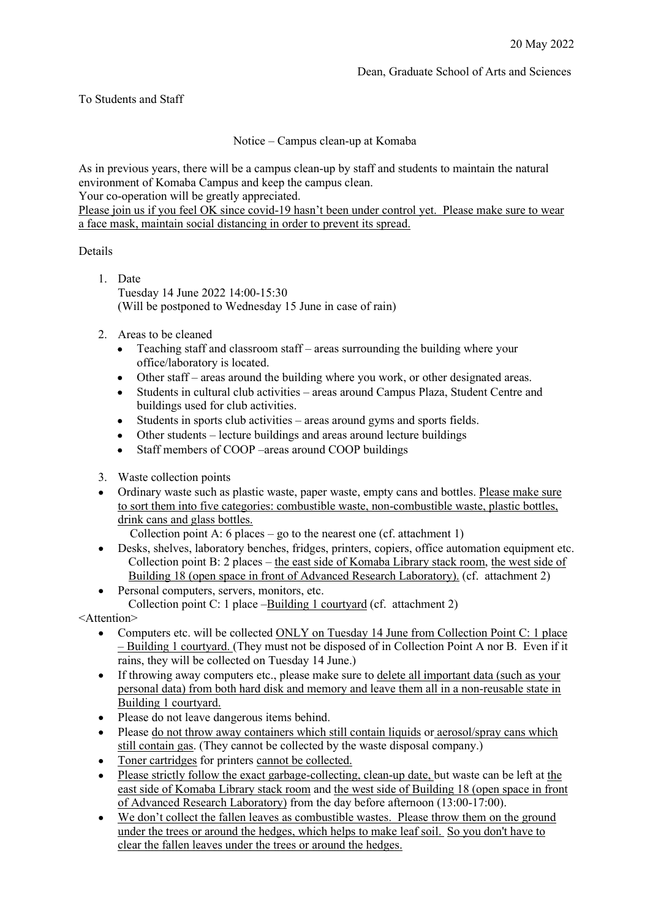## To Students and Staff

Notice – Campus clean-up at Komaba

As in previous years, there will be a campus clean-up by staff and students to maintain the natural environment of Komaba Campus and keep the campus clean.

Your co-operation will be greatly appreciated.

Please join us if you feel OK since covid-19 hasn't been under control yet. Please make sure to wear a face mask, maintain social distancing in order to prevent its spread.

## Details

- 1. Date Tuesday 14 June 2022 14:00-15:30 (Will be postponed to Wednesday 15 June in case of rain)
- 2. Areas to be cleaned
	- Teaching staff and classroom staff areas surrounding the building where your office/laboratory is located.
	- $\bullet$ Other staff – areas around the building where you work, or other designated areas.
	- Students in cultural club activities areas around Campus Plaza, Student Centre and buildings used for club activities.
	- Students in sports club activities areas around gyms and sports fields.  $\bullet$
	- Other students lecture buildings and areas around lecture buildings
	- Staff members of COOP –areas around COOP buildings
- 3. Waste collection points
- Ordinary waste such as plastic waste, paper waste, empty cans and bottles. Please make sure to sort them into five categories: combustible waste, non-combustible waste, plastic bottles, drink cans and glass bottles.

Collection point A: 6 places – go to the nearest one (cf. attachment 1)

- Desks, shelves, laboratory benches, fridges, printers, copiers, office automation equipment etc. Collection point B: 2 places – the east side of Komaba Library stack room, the west side of Building 18 (open space in front of Advanced Research Laboratory). (cf. attachment 2)
- Personal computers, servers, monitors, etc. Collection point C: 1 place –Building 1 courtyard (cf. attachment 2)

<Attention>

- Computers etc. will be collected ONLY on Tuesday 14 June from Collection Point C: 1 place  $\bullet$ – Building 1 courtyard. (They must not be disposed of in Collection Point A nor B. Even if it rains, they will be collected on Tuesday 14 June.)
- If throwing away computers etc., please make sure to delete all important data (such as your  $\bullet$ personal data) from both hard disk and memory and leave them all in a non-reusable state in Building 1 courtyard.
- Please do not leave dangerous items behind.
- Please do not throw away containers which still contain liquids or aerosol/spray cans which still contain gas. (They cannot be collected by the waste disposal company.)
- Toner cartridges for printers cannot be collected.  $\bullet$
- Please strictly follow the exact garbage-collecting, clean-up date, but waste can be left at the east side of Komaba Library stack room and the west side of Building 18 (open space in front of Advanced Research Laboratory) from the day before afternoon (13:00-17:00).
- We don't collect the fallen leaves as combustible wastes. Please throw them on the ground under the trees or around the hedges, which helps to make leaf soil. So you don't have to clear the fallen leaves under the trees or around the hedges.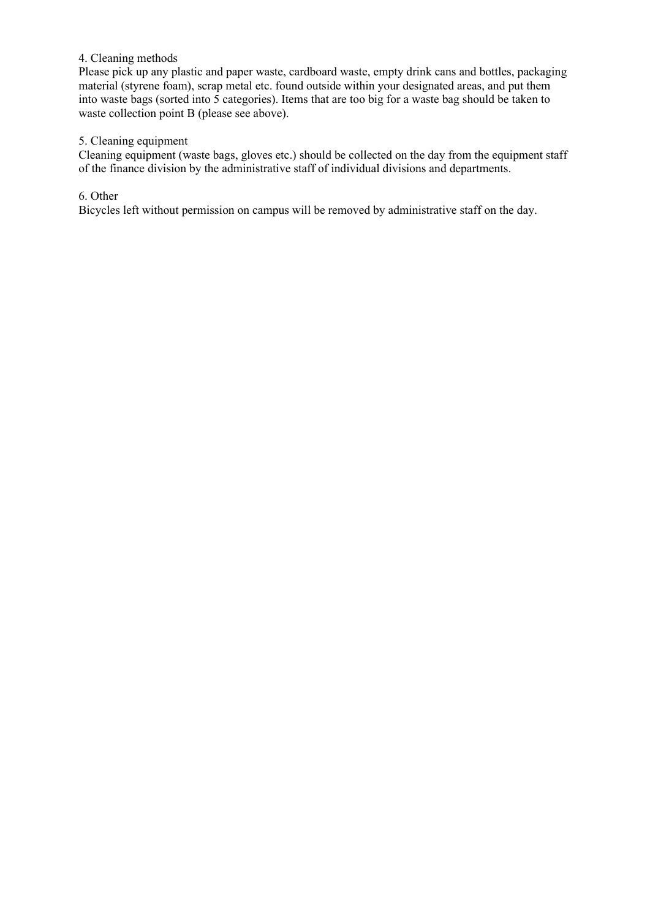#### 4. Cleaning methods

Please pick up any plastic and paper waste, cardboard waste, empty drink cans and bottles, packaging material (styrene foam), scrap metal etc. found outside within your designated areas, and put them into waste bags (sorted into 5 categories). Items that are too big for a waste bag should be taken to waste collection point B (please see above).

#### 5. Cleaning equipment

Cleaning equipment (waste bags, gloves etc.) should be collected on the day from the equipment staff of the finance division by the administrative staff of individual divisions and departments.

6. Other

Bicycles left without permission on campus will be removed by administrative staff on the day.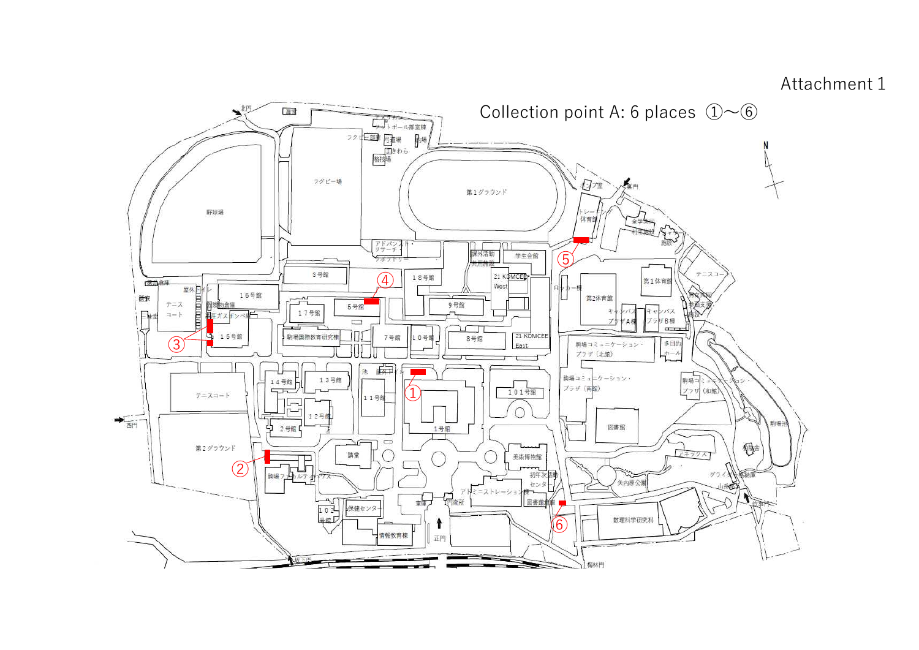